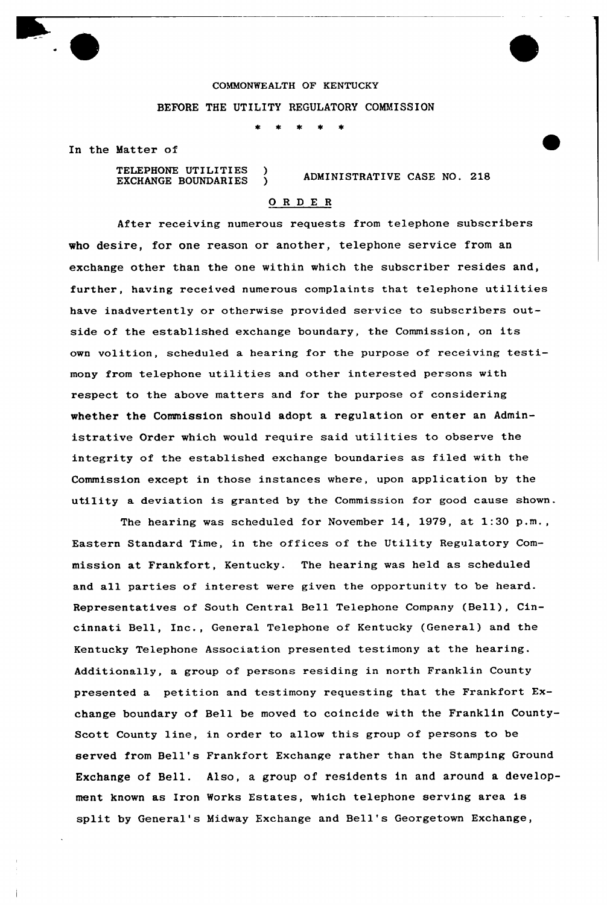

In the Matter of

TELEPHONE UTILITIES ) EXCHANGE BOUNDARIES )

## ADMINISTRATIVE CASE NO. 218

## ORDER

After receiving numerous requests from telephone subscribers who desire, for one reason or another, telephone service from an exchange other than the one within which the subscriber resides and, further, having received numerous complaints that telephone utilities have inadvertently or otherwise provided service to subscribers outside of the established exchange boundary, the Commission, on its own volition, scheduled <sup>a</sup> hearing for the purpose of receiving testimony from telephone utilities and other interested persons with respect to the above matters and for the purpose of considering whether the Commission should adopt a regulation or enter an Administrative Order which would require said utilities to observe the integrity of the established exchange boundaries as filed with the Commission except in those instances where, upon application by the utility a deviation is granted by the Commission for good cause shown.

The hearing was scheduled for November 14, 1979, at 1:30 p.m., Eastern Standard Time, in the offices of the Utility Regulatory Commission at Frankfort, Kentucky. The hearing was held as scheduled and all parties of interest were given the opportunity to be heard. Representatives of South Central Bell Telephone Company (Bell), Cincinnati Bell, Inc., General Telephone of Kentucky (General} and the Kentucky Telephone Association presented testimony at the hearing. Additionally, a group of persons residing in north Franklin County presented a petition and testimony requesting that the Frankfort Exchange boundary of Bell be moved to coincide with the Franklin County-Scott County line, in order to allow this group of persons to be served from Bell's Frankfort Exchange rather than the Stamping Ground Exchange of Bell. Also, a group of residents in and around a development known as Iron Works Estates, which telephone serving area is split by General's Midway Exchange and Bell's Georgetown Exchange,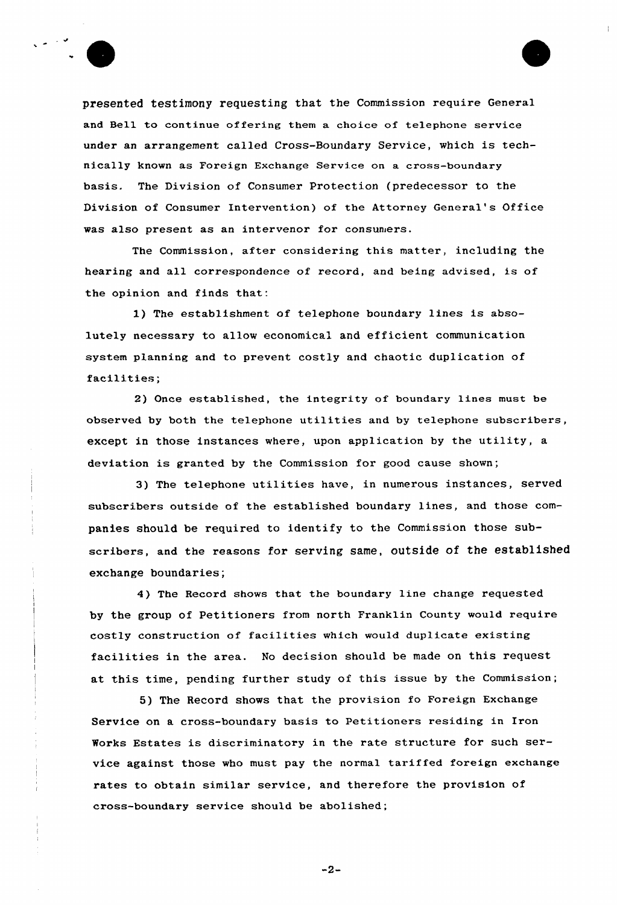

presented testimony requesting that the Commission require General and Bell to continue offering them a choice of telephone service under an arrangement called Cross-Boundary Service, which is technically known as Foreign Exchange Service on a cross-boundary basis. The Division of Consumer Protection (predecessor to the Division of Consumer Intervention) of the Attorney General's Office was also present as an intervenor for consuniers.

The Commission, after considering this matter, including the hearing and all correspondence of record, and being advised, is of the opinion and finds that:

1) The establishment of telephone boundary lines is absolutely necessary to allow economical and efficient communication system planning and to prevent costly and chaotic duplication of facilities;

2) Once established, the integrity of boundary lines must be observed by both the telephone utilities and by telephone subscribers, except in those instances where, upon application by the utility, a deviation is granted by the Commission for good cause shown;

3) The telephone utilities have, in numerous instances, served subscribers outside of the established boundary lines, and those companies should be required to identify to the Commission those subscribers, and the reasons for serving same, outside of the established exchange boundaries;

4) The Record shows that the boundary line change requested by the group of Petitioners from north Franklin County would require costly construction of facilities which would duplicate existing facilities in the area. No decision should be made on this request at this time, pending further study of this issue by the Commission;

5) The Record shows that the provision fo Foreign Exchange Service on a cross-boundary basis to Petitioners residing in Iron Works Estates is discriminatory in the rate structure for such service against those who must pay the normal tariffed foreign exchange rates to obtain similar service, and therefore the provision of cross-boundary service should be abolished;

 $-2-$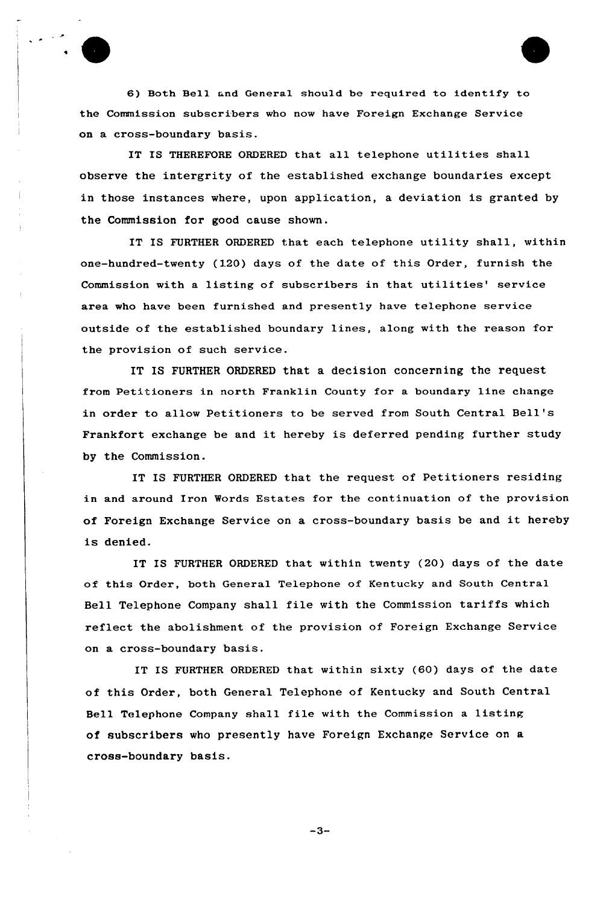6) Both Bell and General should be required to identify to the Commission subscribers who now have Foreign Exchange Service on a cross-boundary basis.

IT IS THEREFORE ORDERED that all telephone utilities shall observe the intergrity of the established exchange boundaries except in those instances where, upon application, a deviation is granted by the Commission for good cause shown.

IT IS FURTHER ORDERED that each telephone utility shall, within one-hundred-twenty (120) days of the date of this Order, furnish the Commission with a listing of subscribers in that utilities' service area who have been furnished and presently have telephone service outside of the established boundary lines, along with the reason for the provision of such service.

IT IS FURTHER ORDERED that a decision concerning the request from Petitioners in north Franklin County for a boundary line change in order to allow Petitioners to be served from South Central Bell' Frankfort exchange be and it hereby is deferred pending further study by the Commission.

IT IS FURTHER ORDERED that the request of Petitioners residing in and around Iron Words Estates for the continuation of the provision of Foreign Exchange Service on <sup>a</sup> cross-boundary basis be and it hereby is denied.

IT IS FURTHER ORDERED that within twenty (20) days of the date of this Order, both General Telephone of Kentucky and South Central Bell Telephone Company shall file with the Commission tariffs which reflect the abolishment of the provision of Foreign Exchange Service on a cross-boundary basis.

IT IS FURTHER ORDERED that within sixty (60) days of the date of this Order, both General Telephone of Kentucky and South Central Bell Telephone Company shall file with the Commission a listing of subscribers who presently have Foreign Exchange Service on a cross-boundary basis.

 $-3-$